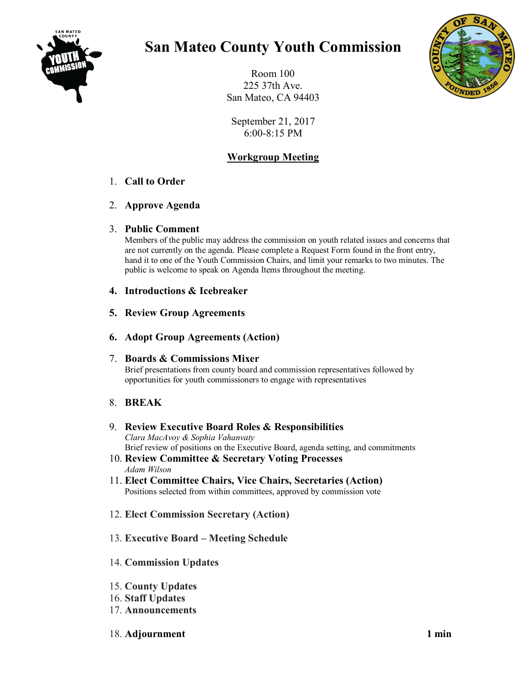

# **San Mateo County Youth Commission**

Room 100 225 37th Ave. San Mateo, CA 94403



September 21, 2017 6:00-8:15 PM

## **Workgroup Meeting**

## 1. **Call to Order**

### 2. **Approve Agenda**

#### 3. **Public Comment**

Members of the public may address the commission on youth related issues and concerns that are not currently on the agenda. Please complete a Request Form found in the front entry, hand it to one of the Youth Commission Chairs, and limit your remarks to two minutes. The public is welcome to speak on Agenda Items throughout the meeting.

#### **4. Introductions & Icebreaker**

#### **5. Review Group Agreements**

### **6. Adopt Group Agreements (Action)**

### 7. **Boards & Commissions Mixer**

Brief presentations from county board and commission representatives followed by opportunities for youth commissioners to engage with representatives

### 8. **BREAK**

#### 9. **Review Executive Board Roles & Responsibilities** *Clara MacAvoy & Sophia Vahanvaty* Brief review of positions on the Executive Board, agenda setting, and commitments

- 10. **Review Committee & Secretary Voting Processes**  *Adam Wilson*
- 11. **Elect Committee Chairs, Vice Chairs, Secretaries (Action)** Positions selected from within committees, approved by commission vote
- 12. **Elect Commission Secretary (Action)**

### 13. **Executive Board – Meeting Schedule**

### 14. **Commission Updates**

- 15. **County Updates**
- 16. **Staff Updates**
- 17. **Announcements**

#### 18. **Adjournment** 1 min